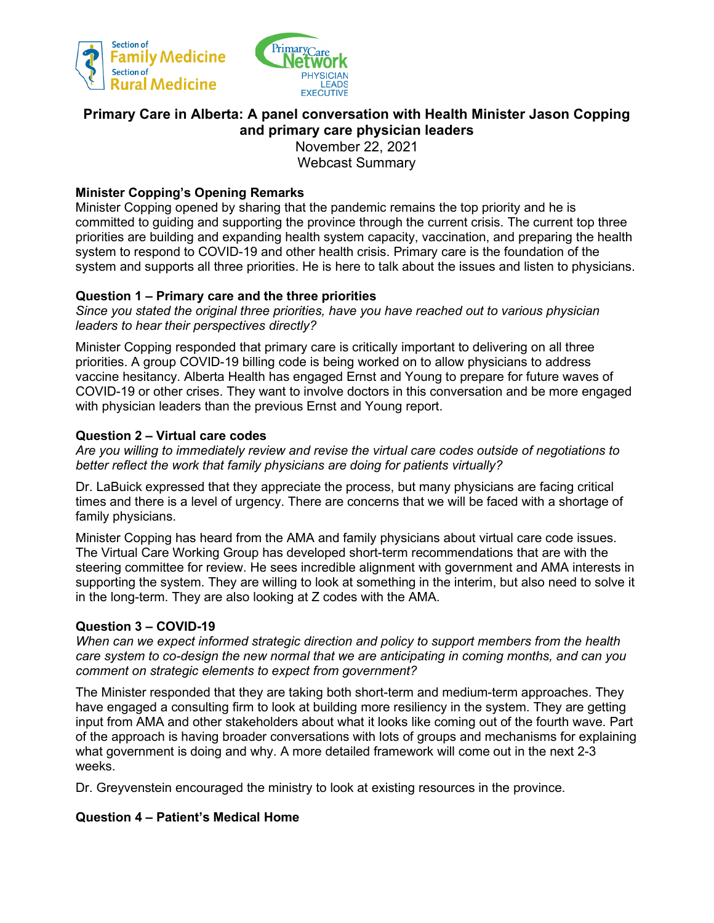



# **Primary Care in Alberta: A panel conversation with Health Minister Jason Copping and primary care physician leaders** November 22, 2021

Webcast Summary

# **Minister Copping's Opening Remarks**

Minister Copping opened by sharing that the pandemic remains the top priority and he is committed to guiding and supporting the province through the current crisis. The current top three priorities are building and expanding health system capacity, vaccination, and preparing the health system to respond to COVID-19 and other health crisis. Primary care is the foundation of the system and supports all three priorities. He is here to talk about the issues and listen to physicians.

## **Question 1 – Primary care and the three priorities**

*Since you stated the original three priorities, have you have reached out to various physician leaders to hear their perspectives directly?*

Minister Copping responded that primary care is critically important to delivering on all three priorities. A group COVID-19 billing code is being worked on to allow physicians to address vaccine hesitancy. Alberta Health has engaged Ernst and Young to prepare for future waves of COVID-19 or other crises. They want to involve doctors in this conversation and be more engaged with physician leaders than the previous Ernst and Young report.

## **Question 2 – Virtual care codes**

*Are you willing to immediately review and revise the virtual care codes outside of negotiations to better reflect the work that family physicians are doing for patients virtually?*

Dr. LaBuick expressed that they appreciate the process, but many physicians are facing critical times and there is a level of urgency. There are concerns that we will be faced with a shortage of family physicians.

Minister Copping has heard from the AMA and family physicians about virtual care code issues. The Virtual Care Working Group has developed short-term recommendations that are with the steering committee for review. He sees incredible alignment with government and AMA interests in supporting the system. They are willing to look at something in the interim, but also need to solve it in the long-term. They are also looking at Z codes with the AMA.

#### **Question 3 – COVID-19**

*When can we expect informed strategic direction and policy to support members from the health care system to co-design the new normal that we are anticipating in coming months, and can you comment on strategic elements to expect from government?*

The Minister responded that they are taking both short-term and medium-term approaches. They have engaged a consulting firm to look at building more resiliency in the system. They are getting input from AMA and other stakeholders about what it looks like coming out of the fourth wave. Part of the approach is having broader conversations with lots of groups and mechanisms for explaining what government is doing and why. A more detailed framework will come out in the next 2-3 weeks.

Dr. Greyvenstein encouraged the ministry to look at existing resources in the province.

## **Question 4 – Patient's Medical Home**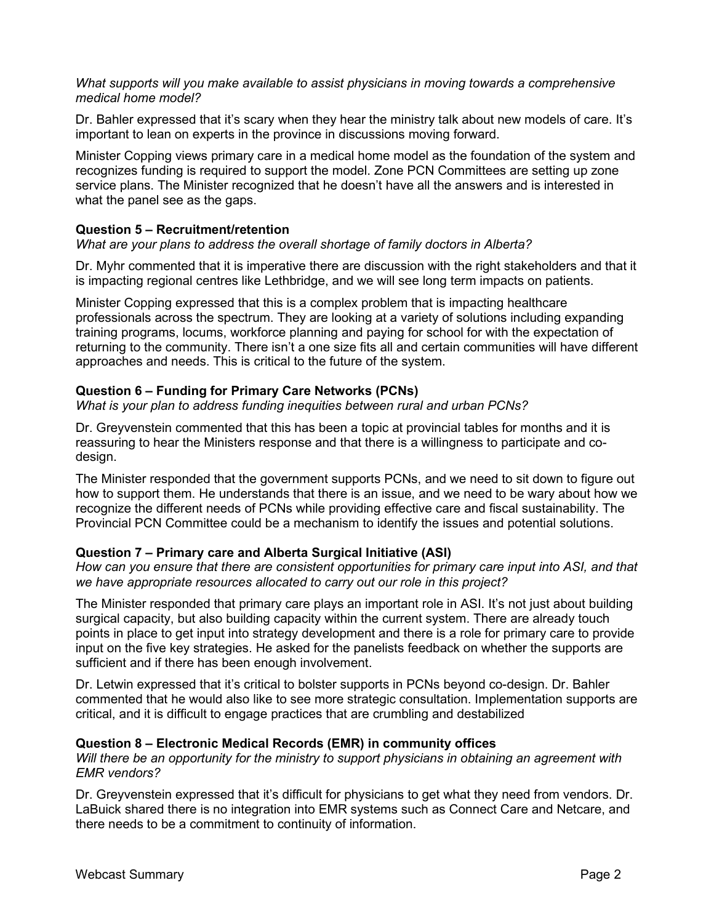#### *What supports will you make available to assist physicians in moving towards a comprehensive medical home model?*

Dr. Bahler expressed that it's scary when they hear the ministry talk about new models of care. It's important to lean on experts in the province in discussions moving forward.

Minister Copping views primary care in a medical home model as the foundation of the system and recognizes funding is required to support the model. Zone PCN Committees are setting up zone service plans. The Minister recognized that he doesn't have all the answers and is interested in what the panel see as the gaps.

## **Question 5 – Recruitment/retention**

*What are your plans to address the overall shortage of family doctors in Alberta?*

Dr. Myhr commented that it is imperative there are discussion with the right stakeholders and that it is impacting regional centres like Lethbridge, and we will see long term impacts on patients.

Minister Copping expressed that this is a complex problem that is impacting healthcare professionals across the spectrum. They are looking at a variety of solutions including expanding training programs, locums, workforce planning and paying for school for with the expectation of returning to the community. There isn't a one size fits all and certain communities will have different approaches and needs. This is critical to the future of the system.

# **Question 6 – Funding for Primary Care Networks (PCNs)**

*What is your plan to address funding inequities between rural and urban PCNs?*

Dr. Greyvenstein commented that this has been a topic at provincial tables for months and it is reassuring to hear the Ministers response and that there is a willingness to participate and codesign.

The Minister responded that the government supports PCNs, and we need to sit down to figure out how to support them. He understands that there is an issue, and we need to be wary about how we recognize the different needs of PCNs while providing effective care and fiscal sustainability. The Provincial PCN Committee could be a mechanism to identify the issues and potential solutions.

## **Question 7 – Primary care and Alberta Surgical Initiative (ASI)**

*How can you ensure that there are consistent opportunities for primary care input into ASI, and that we have appropriate resources allocated to carry out our role in this project?*

The Minister responded that primary care plays an important role in ASI. It's not just about building surgical capacity, but also building capacity within the current system. There are already touch points in place to get input into strategy development and there is a role for primary care to provide input on the five key strategies. He asked for the panelists feedback on whether the supports are sufficient and if there has been enough involvement.

Dr. Letwin expressed that it's critical to bolster supports in PCNs beyond co-design. Dr. Bahler commented that he would also like to see more strategic consultation. Implementation supports are critical, and it is difficult to engage practices that are crumbling and destabilized

## **Question 8 – Electronic Medical Records (EMR) in community offices**

*Will there be an opportunity for the ministry to support physicians in obtaining an agreement with EMR vendors?*

Dr. Greyvenstein expressed that it's difficult for physicians to get what they need from vendors. Dr. LaBuick shared there is no integration into EMR systems such as Connect Care and Netcare, and there needs to be a commitment to continuity of information.